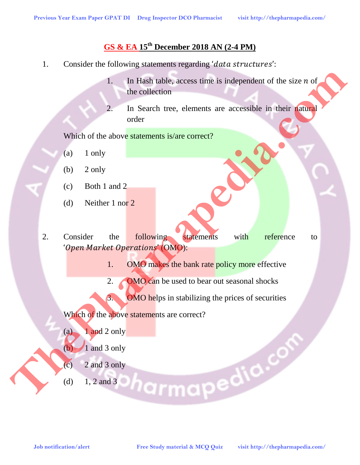## **GS & EA 15th December 2018 AN (2-4 PM)**

- 1. Consider the following statements regarding 'data structures':
	- 1. In Hash table, access time is independent of the size  $n$  of the collection
	- 2. In Search tree, elements are accessible in their natural order

Which of the above statements is/are correct?

- $(a)$  1 only
- $(b)$  2 only
- (c) Both 1 and 2
- (d) Neither 1 nor 2
- 2. Consider the following statements with reference to ' Open Market Operations' (OMO): **Job notification/alertication/alertication/alertication/alertication/alertication/alertication/alertication/alertication/alertication/alertication/alertication/alertication/alertication/alertication/alertication/alerticat** 
	- 1. OMO makes the bank rate policy more effective
	- 2. OMO can be used to bear out seasonal shocks
	- 3. OMO helps in stabilizing the prices of securities

Which of the above statements are correct?

- $(a)$  1 and 2 only
- $(b)$  1 and 3 only
- $(c)$  2 and 3 only
- (d)  $1, 2$  and 3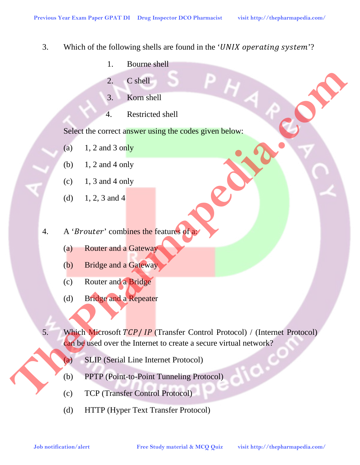- 3. Which of the following shells are found in the 'UNIX operating system'?
	- 1. Bourne shell
	- 2. C shell
	- 3. Korn shell
	- 4. Restricted shell

Select the correct answer using the codes given below:

- (a)  $1, 2$  and 3 only
- (b) 1, 2 and 4 only
- $(c)$  1, 3 and 4 only
- (d)  $1, 2, 3$  and 4
- 4. A '*Brouter*' combines the features of a:
	- (a) Router and a Gateway
	- (b) Bridge and a Gateway
	- (c) Router and a Bridge
	- (d) Bridge and a Repeater
- 5. Which Microsoft  $TCP / IP$  (Transfer Control Protocol) / (Internet Protocol) can be used over the Internet to create a secure virtual network? **Job notification/alert**<br> **Job notification/alert**<br> **Job notification/alert**<br> **Free Study material and Activity studies and a Gateway and Activity in the Continues of the Community of the Community of the Community of the** 
	- (a) SLIP (Serial Line Internet Protocol)
	- (b) PPTP (Point-to-Point Tunneling Protocol)
	- (c) TCP (Transfer Control Protocol)
	- (d) HTTP (Hyper Text Transfer Protocol)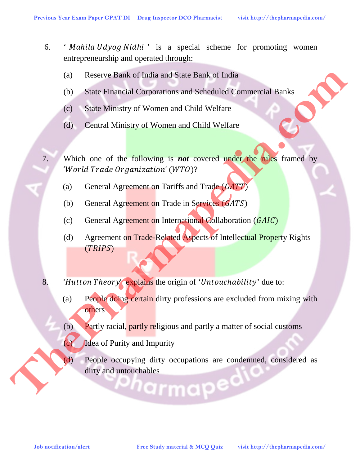- 6. ' Mahila Udyog Nidhi' is a special scheme for promoting women entrepreneurship and operated through:
	- (a) Reserve Bank of India and State Bank of India
	- (b) State Financial Corporations and Scheduled Commercial Banks
	- (c) State Ministry of Women and Child Welfare
	- (d) Central Ministry of Women and Child Welfare
- 7. Which one of the following is *not* covered under the rules framed by 'World Trade Organization' (WTO)? **Job Notification/alert**<br> **Job Since Financial Corporations and Scheduled Commercial Banks<br>
<b>CO** Since Ministry of Women and Child Welfare<br> **CO** Since Ministry of Women and Child Welfare<br> **CO** Central Aircrease of Women an
	- (a) General Agreement on Tariffs and Trade  $(GATT)$
	- (b) General Agreement on Trade in Services  $(GATS)$
	- (c) General Agreement on International Collaboration  $(GAIC)$
	- (d) Agreement on Trade-Related Aspects of Intellectual Property Rights  $(TRIPS)$
	- 8. 'Hutton Theory' explains the origin of 'Untouchability' due to:
		- (a) People doing certain dirty professions are excluded from mixing with others
		- (b) Partly racial, partly religious and partly a matter of social customs
		- (c) Idea of Purity and Impurity
		- (d) People occupying dirty occupations are condemned, considered as dirty and untouchables  $\overline{a}$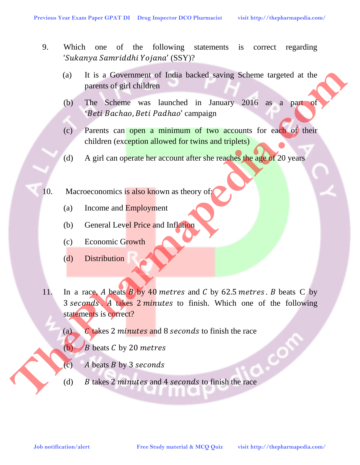- 9. Which one of the following statements is correct regarding ' Sukanya Samriddhi Yojana' (SSY)?
	- (a) It is a Government of India backed saving Scheme targeted at the parents of girl children
	- (b) The Scheme was launched in January 2016 as a part of 'Beti Bachao, Beti Padhao' campaign
	- (c) Parents can open a minimum of two accounts for each of their children (exception allowed for twins and triplets)
	- (d) A girl can operate her account after she reaches the age of 20 years
- 10. Macroeconomics is also known as theory of:
	- (a) Income and Employment
	- (b) General Level Price and Inflation
	- (c) Economic Growth
	- (d) Distribution
- 11. In a race, A beats  $\overline{B}$  by 40 metres and C by 62.5 metres. B beats C by 3 seconds. A takes 2 minutes to finish. Which one of the following statements is correct? **Job notification and External Studies and Alertania Study material & MCQuiz The Scheme was launched in January 2016 as a part of the Betti Buchuna, Betti Patchua, Betti Patchua, and the Study computer of the Study materi** 
	- (a)  $\binom{1}{k}$  C takes 2 minutes and 8 seconds to finish the race
	- (b)  $\blacktriangleright$  *B* beats *C* by 20 metres
	- (c)  $A$  beats  $B$  by 3 seconds
	- (d)  $B$  takes 2 minutes and 4 seconds to finish the race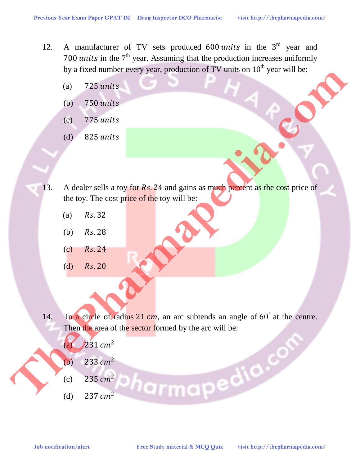- 12. A manufacturer of TV sets produced  $600 \text{ units}$  in the  $3^{\text{rd}}$  year and 700 units in the  $7<sup>th</sup>$  year. Assuming that the production increases uniformly by a fixed number every year, production of TV units on  $10<sup>th</sup>$  year will be:
	- $(a)$  725 units
	- (b) 750
	- (c) 775
	- (d) 825
- 13. A dealer sells a toy for Rs. 24 and gains as much percent as the cost price of the toy. The cost price of the toy will be: **Job notification/alert Free Study material & MCQ Quiz**<br> **Job notification alertic of the cost price of the toy will be:**<br> **Job notification allows** the complex property of the street of the toy will be:<br> **Harmapedia.co** 
	- $(a)$   $Rs.32$
	- (b)  $Rs.28$
	- $(c)$   $Rs.24$
	- $(d)$   $Rs.20$
	- 14. In a circle of radius  $21 \, \text{cm}$ , an arc subtends an angle of  $60^\circ$  at the centre. Then the area of the sector formed by the arc will be:
		- (a)  $231 \, \text{cm}^2$
		- (b) 233  $cm<sup>2</sup>$
		- (c) 235  $cm<sup>2</sup>$
		- (d) 237  $cm<sup>2</sup>$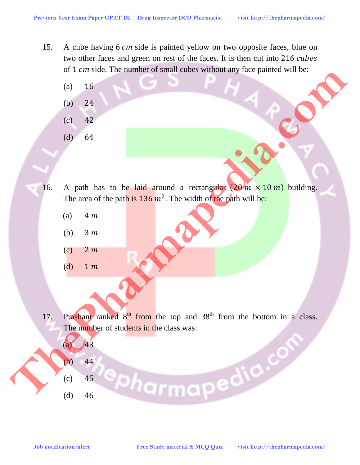- 15. A cube having 6 cm side is painted yellow on two opposite faces, blue on two other faces and green on rest of the faces. It is then cut into 216 cubes of 1 cm side. The number of small cubes without any face painted will be:
	- $(a) 16$
	- (b) 24
	- (c) 42
	- (d) 64
- 16. A path has to be laid around a rectangular  $(20 \text{ m} \times 10 \text{ m})$  building. The area of the path is  $136 \, m^2$ . The width of the path will be:
	- (a)  $4m$
	- (b)  $3m$
	- $(c)$  2 m
	- (d)  $1 m$
- 17. Prashant ranked  $8<sup>th</sup>$  from the top and  $38<sup>th</sup>$  from the bottom in a class. The number of students in the class was:
	- $(a)$   $43$ (b) 44
	- (c) 45

 $(d)$  46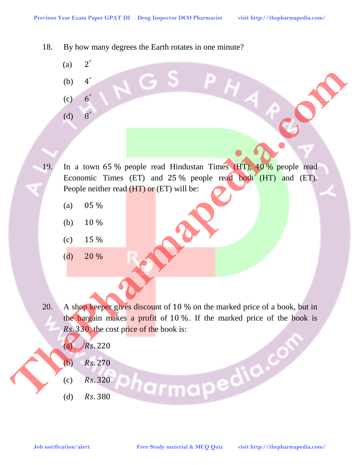- 18. By how many degrees the Earth rotates in one minute?
	- $(a)$   $2^\circ$
	- (b)  $4^\circ$
	- $(c)$  6°
	- (d)  $8^\circ$

19. In a town 65 % people read Hindustan Times (HT), 40 % people read Economic Times (ET) and 25 % people read both (HT) and (ET). People neither read (HT) or (ET) will be: **Job notification alertic interaction alertic different interaction of the study material**  $\frac{1}{2}$  **(d)**  $\frac{1}{2}$  (d)  $\frac{1}{2}$  (d)  $\frac{1}{2}$  (d)  $\frac{1}{2}$  (d)  $\frac{1}{2}$  (d)  $\frac{1}{2}$  (d)  $\frac{1}{2}$  (d)  $\frac{1}{2}$  (d)  $\frac{$ 

- (a)  $05\%$
- (b)  $10\%$
- $(c)$  15 %
- $(d)$  20 %

20. A shop keeper gives discount of 10 % on the marked price of a book, but in the bargain makes a profit of 10 %. If the marked price of the book is Rs. 330, the cost price of the book is:

- $(a)$   $Rs.220$
- (b)  $Rs.270$
- $(c)$   $Rs.320$
- (d)  $Rs.380$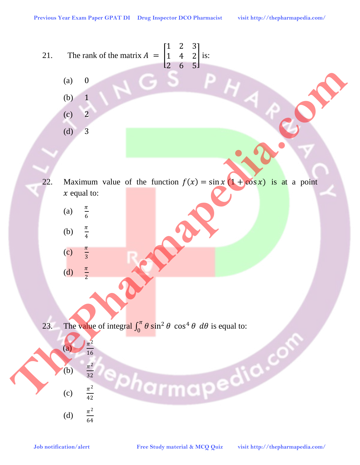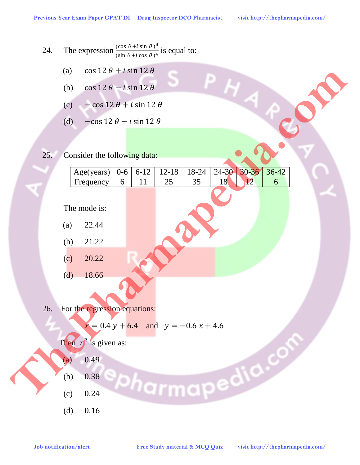- 24. The expression  $\frac{(\cos \theta + i \sin \theta)^8}{(\sin \theta + i \cos \theta)^4}$  is equal to:
	- (a)  $\cos 12 \theta + i \sin 12 \theta$
	- (b)  $\cos 12 \theta i \sin 12 \theta$
	- (c)  $-\cos 12 \theta + i \sin 12 \theta$
	- (d)  $-\cos 12 \theta i \sin 12 \theta$
- 25. Consider the following data:

|                        | $\left( d \right)$ | $\cos 12 \theta + i \sin 12 \theta$      |              |                |                                |             |           |         |                                  |  |  |  |  |  |  |
|------------------------|--------------------|------------------------------------------|--------------|----------------|--------------------------------|-------------|-----------|---------|----------------------------------|--|--|--|--|--|--|
|                        | (b)                | $\cos 12 \theta - i \sin 12 \theta$      |              |                |                                |             |           |         |                                  |  |  |  |  |  |  |
|                        | (c)                | $-\cos 12 \theta + i \sin 12 \theta$     |              |                |                                |             |           |         |                                  |  |  |  |  |  |  |
|                        | (d)                | $-\cos 12 \theta - i \sin 12 \theta$     |              |                |                                |             |           |         |                                  |  |  |  |  |  |  |
|                        |                    |                                          |              |                |                                |             |           |         |                                  |  |  |  |  |  |  |
| 25.                    |                    | Consider the following data:             |              |                |                                |             |           |         |                                  |  |  |  |  |  |  |
|                        |                    |                                          |              |                |                                |             | $24 - 30$ | 30-36   |                                  |  |  |  |  |  |  |
|                        |                    | Age(years)<br>Frequency                  | $0 - 6$<br>6 | $6 - 12$<br>11 | $12 - 18$<br>25                | 18-24<br>35 | 18        | $12 \,$ | $36-42$<br>6                     |  |  |  |  |  |  |
|                        |                    |                                          |              |                |                                |             |           |         |                                  |  |  |  |  |  |  |
|                        |                    | The mode is:                             |              |                |                                |             |           |         |                                  |  |  |  |  |  |  |
|                        | (a)                | 22.44                                    |              |                |                                |             |           |         |                                  |  |  |  |  |  |  |
|                        | (b)                | 21.22                                    |              |                |                                |             |           |         |                                  |  |  |  |  |  |  |
|                        | (c)                | 20.22                                    |              |                |                                |             |           |         |                                  |  |  |  |  |  |  |
|                        | (d)                | 18.66                                    |              |                |                                |             |           |         |                                  |  |  |  |  |  |  |
|                        |                    |                                          |              |                |                                |             |           |         |                                  |  |  |  |  |  |  |
| 26.                    |                    | For the regression equations:            |              |                |                                |             |           |         |                                  |  |  |  |  |  |  |
|                        |                    |                                          |              |                |                                |             |           |         |                                  |  |  |  |  |  |  |
|                        |                    | $x = 0.4 y + 6.4$ and $y = -0.6 x + 4.6$ |              |                |                                |             |           |         |                                  |  |  |  |  |  |  |
|                        |                    | Then $r^2$ is given as:                  |              |                |                                |             |           |         |                                  |  |  |  |  |  |  |
|                        | $\left( a\right)$  | 0.49                                     |              |                |                                |             |           |         |                                  |  |  |  |  |  |  |
|                        | (b)                | harmapedia.c<br>0.38                     |              |                |                                |             |           |         |                                  |  |  |  |  |  |  |
|                        | (c)                | 0.24                                     |              |                |                                |             |           |         |                                  |  |  |  |  |  |  |
|                        | (d)                | 0.16                                     |              |                |                                |             |           |         |                                  |  |  |  |  |  |  |
|                        |                    |                                          |              |                |                                |             |           |         |                                  |  |  |  |  |  |  |
| Job notification/alert |                    |                                          |              |                | Free Study material & MCQ Quiz |             |           |         | visit http://thepharmapedia.com/ |  |  |  |  |  |  |

- $(a)$  22.44
- (b) 21.22
- $(c)$  20.22
- $(d)$  18.66

26. For the regression equations:



- $(a)$  0.49
- (b) 0.38
- $(c)$  0.24
- (d) 0.16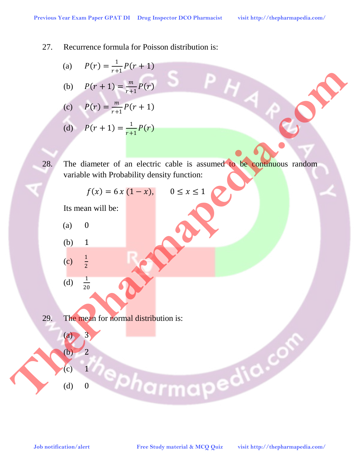

(a)  $P(r) = \frac{1}{r+1} P(r+1)$ 

(b) 
$$
P(r + 1) = \frac{m}{r+1}P(r)
$$

(c) 
$$
P(r) = \frac{m}{r+1}P(r+1)
$$

(d) 
$$
P(r + 1) = \frac{1}{r+1}P(r)
$$

28. The diameter of an electric cable is assumed to be continuous random variable with Probability density function: (a)  $P(r) = \frac{m}{r+1}P(r+1)$ <br>
(b)  $P(r+1) = \frac{m}{r+1}P(r)$ <br>
(c)  $P(r) = \frac{m}{r+1}P(r+1)$ <br>
(d)  $P(r+1) = \frac{1}{r+1}P(r)$ <br>
(a)  $P(r+1) = \frac{1}{r+1}P(r)$ <br>
28. The diameter of an electric cable is assumed to be a symplem toristic material distribu

$$
f(x) = 6x(1-x), \qquad 0 \le x \le 1
$$

Its mean will be:

- $(a)$  0
- (b) 1
- $(c)$  $\frac{1}{2}$  $(d)$  $\frac{1}{20}$

 $(a) 3$ 

 $(b)$  2

 $(c)$  1

 $(d)$  0

29. The mean for normal distribution is: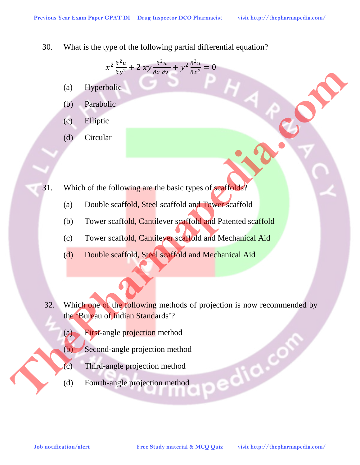30. What is the type of the following partial differential equation?

$$
x^2\frac{\partial^2 u}{\partial y^2} + 2 xy \frac{\partial^2 u}{\partial x \partial y} + y^2 \frac{\partial^2 u}{\partial x^2} = 0
$$

- (a) Hyperbolic
- (b) Parabolic
- (c) Elliptic
- (d) Circular

I

31. Which of the following are the basic types of scaffolds?

- (a) Double scaffold, Steel scaffold and Tower scaffold
- (b) Tower scaffold, Cantilever scaffold and Patented scaffold
- (c) Tower scaffold, Cantilever scaffold and Mechanical Aid
- (d) Double scaffold, Steel scaffold and Mechanical Aid
- 32. Which one of the following methods of projection is now recommended by the 'Bureau of Indian Standards'? **Job notification and the computation of the computation of the computation of the computation of the computation of the computation of the computation of the computation of the computation of the computation of the compu** 
	- (a) First-angle projection method
	- (b) Second-angle projection method
	- (c) Third-angle projection method
	- (d) Fourth-angle projection method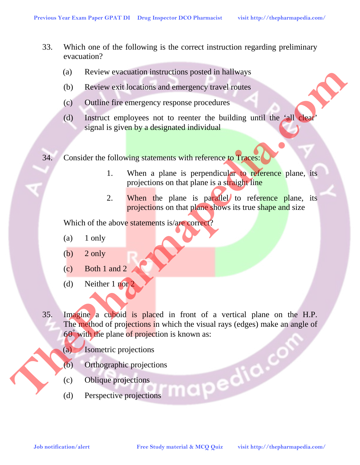- 33. Which one of the following is the correct instruction regarding preliminary evacuation?
	- (a) Review evacuation instructions posted in hallways
	- (b) Review exit locations and emergency travel routes
	- (c) Outline fire emergency response procedures
	- (d) Instruct employees not to reenter the building until the 'all clear' signal is given by a designated individual
- 34. Consider the following statements with reference to Traces:
	- 1. When a plane is perpendicular to reference plane, its projections on that plane is a straight line
	- 2. When the plane is parallel to reference plane, its projections on that plane shows its true shape and size

Which of the above statements is/are correct?

- $(a)$  1 only
- (b)  $2 \text{ only}$
- (c) Both 1 and 2
- (d) Neither 1 nor 2
- 35. Imagine a cuboid is placed in front of a vertical plane on the H.P. The method of projections in which the visual rays (edges) make an angle of 60° with the plane of projection is known as: **Job Review exactuation is an energy response procedures**<br> **Job Doutine line entergency response procedures**<br> **Job Signal & given by a designated individual**<br> **Job Signal & Steven by a designated individual**<br> **Job Signal**

(a) Isometric projections

- (b) Orthographic projections
- (c) Oblique projections
- (d) Perspective projections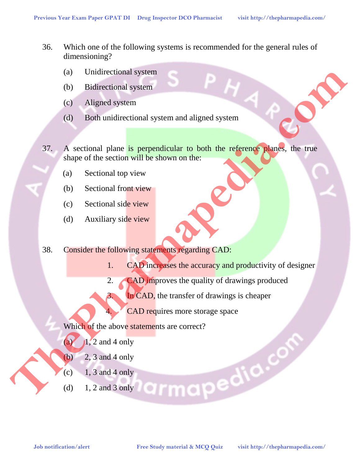- 36. Which one of the following systems is recommended for the general rules of dimensioning?
	- (a) Unidirectional system
	- (b) Bidirectional system
	- (c) Aligned system
	- (d) Both unidirectional system and aligned system
- 37. A sectional plane is perpendicular to both the reference planes, the true shape of the section will be shown on the:
	- (a) Sectional top view
	- (b) Sectional front view
	- (c) Sectional side view
	- (d) Auxiliary side view
- 38. Consider the following statements regarding CAD:
	- 1. CAD increases the accuracy and productivity of designer
	- 2. CAD improves the quality of drawings produced
	- 3. In CAD, the transfer of drawings is cheaper
		- CAD requires more storage space

Which of the above statements are correct?

- (a)  $\sqrt{1}$ , 2 and 4 only
- (b)  $2, 3$  and 4 only
- $(c)$  1, 3 and 4 only
- (d) 1, 2 and 3 only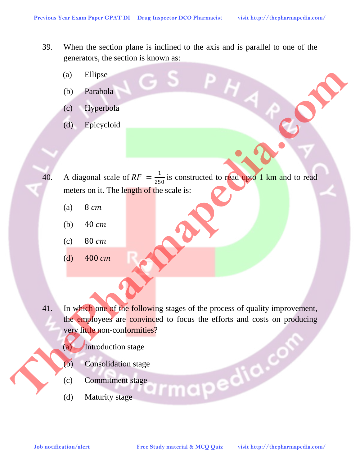- 39. When the section plane is inclined to the axis and is parallel to one of the generators, the section is known as:
	- (a) Ellipse
	- (b) Parabola
	- (c) Hyperbola
	- (d) Epicycloid
- 40. A diagonal scale of  $RF = \frac{1}{250}$  is constructed to read upto 1 km and to read meters on it. The length of the scale is:
	- (a)  $8 \, \text{cm}$
	- (b)  $40 \, \text{cm}$
	- $(c)$  80  $cm$
	- (d)  $400 \, \text{cm}$
- 41. In which one of the following stages of the process of quality improvement, the employees are convinced to focus the efforts and costs on producing very little non-conformities? **Job notification/alert Free Study material & MCQ Quiz visit https://thepharmapedia.com/ CONSULATION: CONSULATION: CONSULATION: CONSULATION: CONSULATION: CONSULATION: CONSULATION: CONSULATION: CONSUL** 
	- (a) Introduction stage
	- (b) Consolidation stage
	- (c) Commitment stage
	- (d) Maturity stage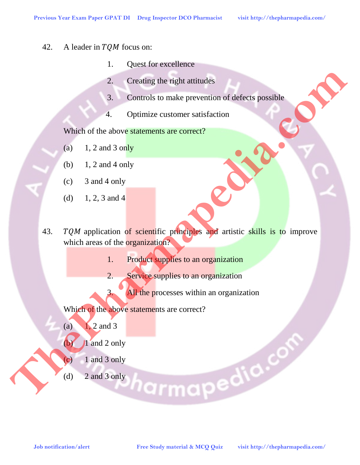- 42. A leader in  $TQM$  focus on:
	- 1. Quest for excellence
	- 2. Creating the right attitudes
	- 3. Controls to make prevention of defects possible
	- 4. Optimize customer satisfaction

Which of the above statements are correct?

- (a)  $1, 2$  and 3 only
- (b) 1, 2 and 4 only
- (c) 3 and 4 only
- (d)  $1, 2, 3$  and 4
- 43. TQM application of scientific principles and artistic skills is to improve which areas of the organization?
	- 1. Product supplies to an organization
	- 2. Service supplies to an organization
	- 3. All the processes within an organization

Which of the above statements are correct?

(a)  $1, 2$  and 3

 $(b)$  1 and 2 only

- $(c)$  1 and 3 only
- (d) 2 and 3 only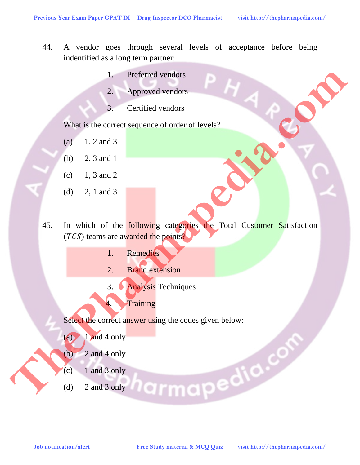- 44. A vendor goes through several levels of acceptance before being indentified as a long term partner:
	- 1. Preferred vendors
	- 2. Approved vendors
	- 3. Certified vendors

What is the correct sequence of order of levels?

- (a)  $1, 2$  and 3
- (b) 2, 3 and 1
- $(c)$  1, 3 and 2
- (d) 2, 1 and 3
- 45. In which of the **following categories the Total Customer Satisfaction**  $(TCS)$  teams are awarded the points? **Job notification/alert Free Study material & MCQ Quiz visit http://thepharmapedia.com/ ThePharmapedia.com**
	- 1. Remedies
	- 2. Brand extension
	- 3. Analysis Techniques
	- 4. Training

Select the correct answer using the codes given below:

- $(a)$  1 and 4 only
- $\left(\begin{array}{cc} \text{(b)} & 2 \text{ and } 4 \text{ only} \end{array}\right)$
- $(c)$  1 and 3 only
- (d) 2 and 3 only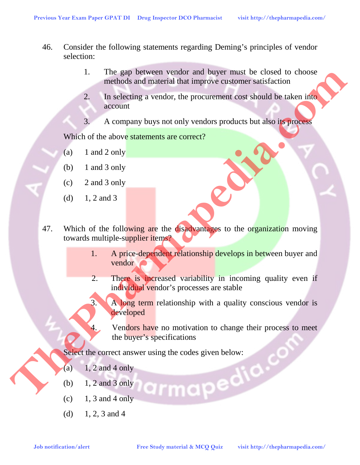- 46. Consider the following statements regarding Deming's principles of vendor selection:
	- 1. The gap between vendor and buyer must be closed to choose methods and material that improve customer satisfaction
	- 2. In selecting a vendor, the procurement cost should be taken into account
	- 3. A company buys not only vendors products but also its process

Which of the above statements are correct?

- (a)  $1$  and  $2$  only
- (b)  $1$  and  $3$  only
- (c) 2 and 3 only
- (d)  $1, 2$  and 3
- 47. Which of the following are the disadvantages to the organization moving towards multiple-supplier items? **Job notification/alertication/alertication/alertication/alertication/alertication/alertication/alertication/alertication/alertication/alertication/alertication/alertication/alertication/alertication/alertication/alertica** 
	- 1. A price-dependent relationship develops in between buyer and vendor
	- 2. There is increased variability in incoming quality even if individual vendor's processes are stable
	- 3. A long term relationship with a quality conscious vendor is developed

4. Vendors have no motivation to change their process to meet the buyer's specifications

Select the correct answer using the codes given below:

- (a)  $1, 2$  and 4 only
- (b) 1, 2 and 3 only
- $(c)$  1, 3 and 4 only
- (d)  $1, 2, 3$  and 4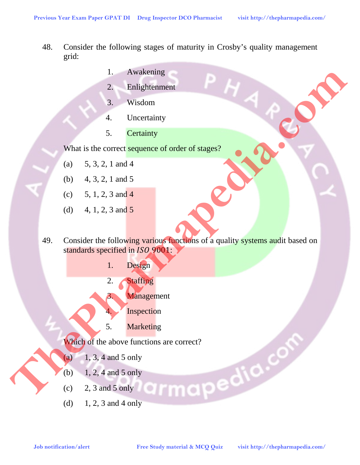- 48. Consider the following stages of maturity in Crosby's quality management grid:
	- 1. Awakening
	- 2. Enlightenment
	- 3. Wisdom
	- 4. Uncertainty
	- 5. Certainty

What is the correct sequence of order of stages?

- (a) 5, 3, 2, 1 and 4
- (b) 4, 3, 2, 1 and 5
- (c)  $5, 1, 2, 3$  and 4
- (d) 4, 1, 2, 3 and 5
- 49. Consider the following various functions of a quality systems audit based on standards specified in ISO 9001: **Job Notification Alertic Study material & MCQ Quiz**<br> **Job Notification**<br> **Free Studies College Studies (The Study material & MCQ CONT)**<br> **Free Study of The above functions are comes!**<br> **FRACHO**<br> **FRACHO**<br> **FRACHO**<br> **FRAC** 
	- 1. Design
	- 2. Staffing
	- 3. Management
		- **Inspection**
	- 5. Marketing

Which of the above functions are correct?<br>
(a) 1, 3, 4 and 5 only<br>
(b) 1, 2, 4 and 5 only<br>
(c) 2, 3 and 5 only<br>
(d) 1, 2, 3 and 4 only

- (a)  $1, 3, 4$  and 5 only
- (b)  $1, 2, 4$  and 5 only
- $(c)$  2, 3 and 5 only
- (d)  $1, 2, 3$  and 4 only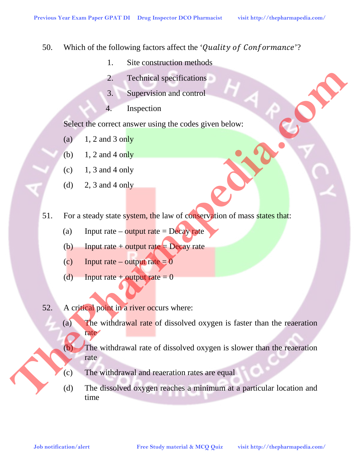- 50. Which of the following factors affect the 'Quality of Conformance'?
	- 1. Site construction methods
	- 2. Technical specifications
	- 3. Supervision and control
	- 4. Inspection

Select the correct answer using the codes given below:

- (a)  $1, 2$  and 3 only
- (b)  $1, 2$  and 4 only
- $(c)$  1, 3 and 4 only
- (d) 2, 3 and 4 only
- 51. For a steady state system, the law of conservation of mass states that:
	- (a) Input rate output rate = Decay rate
	- (b) Input rate + output rate  $=$  Decay rate
	- (c) Input rate output rate  $= 0$
	- (d) Input rate + output rate  $= 0$
- 52. A critical point in a river occurs where:
- (a) The withdrawal rate of dissolved oxygen is faster than the reaeration rate **Job notification and control of the study material & MCQ Quiz <br>
<b>Job notification** and compute the computer of the computation of mass states that<br> **Solution 2.3** and 4 only<br> **CD** 1.3 and 4 only<br> **CD** 1.3 and 4 only<br> **C** 
	- (b) The withdrawal rate of dissolved oxygen is slower than the reaeration rate
	- (c) The withdrawal and reaeration rates are equal
	- (d) The dissolved oxygen reaches a minimum at a particular location and time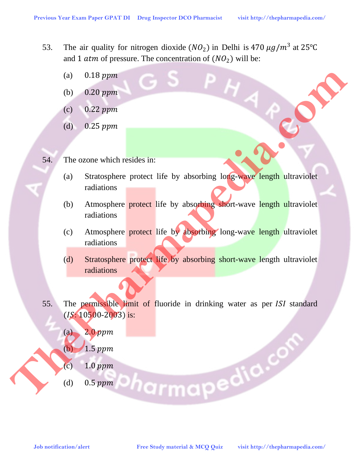- 53. The air quality for nitrogen dioxide ( $NO<sub>2</sub>$ ) in Delhi is 470  $\mu$ g/ $m<sup>3</sup>$  at 25°C and 1 *atm* of pressure. The concentration of  $(NO<sub>2</sub>)$  will be:
	- (a)  $0.18 \, ppm$
	- (b)  $0.20$  ppm
	- $(c)$  0.22 ppm
	- (d)  $0.25$  ppm
- 54. The ozone which resides in:
	- (a) Stratosphere protect life by absorbing long-wave length ultraviolet radiations
	- (b) Atmosphere **protect** life by absorbing short-wave length ultraviolet radiations
	- (c) Atmosphere protect life by absorbing long-wave length ultraviolet radiations
	- (d) Stratosphere protect life by absorbing short-wave length ultraviolet radiations
- 55. The permissible limit of fluoride in drinking water as per ISI standard  $( IS: 10500-2003)$  is: (a) 0.18 ppm<br>
(c) 0.22 ppm<br>
(d) 0.25 ppm<br>
(d) 0.25 ppm<br>
(a) Stratesphere protect life by absorbing long-wave length ultraviolet<br>
radiations<br>
(c) Atmosphere protect life by absorbing long-wave length ultraviolet<br>
radiation
	- $(a)$  2.0 ppm
	- $(b)$  1.5
	- (c) 1.0
	- (d) 0.5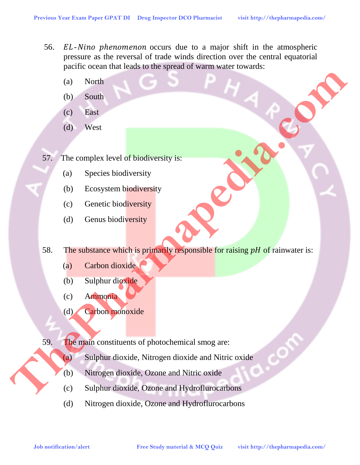- 56. EL-Nino phenomenon occurs due to a major shift in the atmospheric pressure as the reversal of trade winds direction over the central equatorial pacific ocean that leads to the spread of warm water towards:
	- (a) North
	- (b) South
	- (c) East
	- (d) West
- 57. The complex level of biodiversity is:
	- (a) Species biodiversity
	- (b) Ecosystem biodiversity
	- (c) Genetic biodiversity
	- (d) Genus biodiversity
- 58. The substance which is primarily responsible for raising  $pH$  of rainwater is: **Job North Complex level of Biodiversity is:**<br> **Job Notification:**<br> **Job Notification:**<br> **Job Species biodiversity**<br> **Job Consects biodiversity**<br> **Complement interalization:**<br> **Complement interalization:**<br> **Complement is p** 
	- (a) Carbon dioxide
	- (b) Sulphur dioxide
	- (c) Ammonia
	- (d) Carbon monoxide

59. The main constituents of photochemical smog are:

- (a) Sulphur dioxide, Nitrogen dioxide and Nitric oxide
- (b) Nitrogen dioxide, Ozone and Nitric oxide
- (c) Sulphur dioxide, Ozone and Hydroflurocarbons
- (d) Nitrogen dioxide, Ozone and Hydroflurocarbons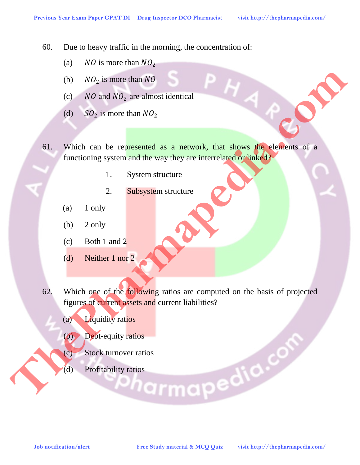60. Due to heavy traffic in the morning, the concentration of:

- (a) *NO* is more than  $NO<sub>2</sub>$
- (b)  $NO_2$  is more than  $NO$
- (c)  $NO$  and  $NO<sub>2</sub>$  are almost identical
- (d)  $SO_2$  is more than  $NO_2$
- 61. Which can be represented as a network, that shows the elements of a functioning system and the way they are interrelated or linked?
	- 1. System structure
	- 2. Subsystem structure
	- (a) 1 only
	- $(b)$  2 only
	- (c) Both 1 and 2
	- (d) Neither 1 nor 2
- 62. Which one of the following ratios are computed on the basis of projected figures of current assets and current liabilities?
	- (a) Liquidity ratios
	- (b) Debt-equity ratios
	- (c) Stock turnover ratios
	- (d) Profitability ratios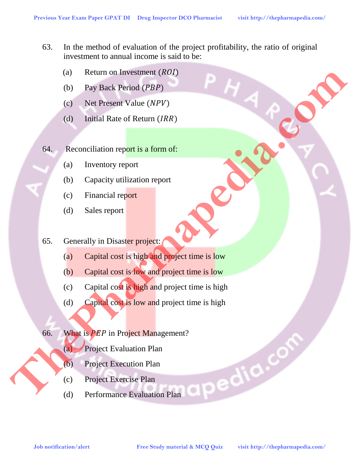- 63. In the method of evaluation of the project profitability, the ratio of original investment to annual income is said to be:
	- (a) Return on Investment  $(ROI)$
	- (b) Pay Back Period  $(PBP)$
	- (c) Net Present Value  $(NPV)$
	- (d) Initial Rate of Return  $(IRR)$
- 64. Reconciliation report is a form of:
	- (a) Inventory report
	- (b) Capacity utilization report
	- (c) Financial report
	- (d) Sales report
- 65. Generally in Disaster project:
	- (a) Capital cost is high and project time is low
	- (b) Capital cost is low and project time is low
- (c) Capital cost is high and project time is high **Job Paylest Freemdy in Disaster project**<br> **Job Paylest New York (***HRP***)<br>
<b>G4** Reconsiliation report<br> **G4** Reconsiliation report<br> **C5** Concertily in Disaster project<br> **C6** Compilations is high material and project time is
	- (d) Capital cost is low and project time is high
	- 66. What is  $PEP$  in Project Management?
		- (a) Project Evaluation Plan
		- (b) Project Execution Plan
		- (c) Project Exercise Plan
		- (d) Performance Evaluation Plan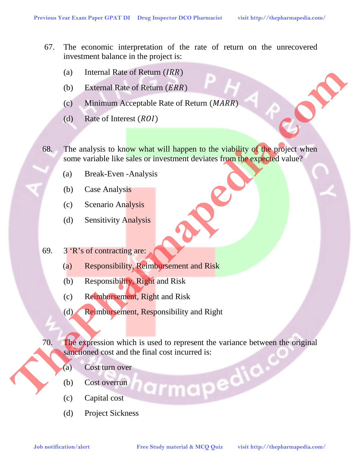- 67. The economic interpretation of the rate of return on the unrecovered investment balance in the project is:
	- (a) Internal Rate of Return  $(IRR)$
	- (b) External Rate of Return  $(ERR)$
	- (c) Minimum Acceptable Rate of Return  $(MARR)$
	- (d) Rate of Interest  $(RO I)$
- 68. The analysis to know what will happen to the viability of the project when some variable like sales or investment deviates from the expected value?
	- (a) Break-Even -Analysis
	- (b) Case Analysis
	- (c) Scenario Analysis
	- (d) Sensitivity Analysis
- 69. 3 'R's of contracting are:
	- (a) Responsibility, Reimbursement and Risk
	- (b) Responsibility, Right and Risk
	- (c) Reimbursement, Right and Risk
	- (d) Reimbursement, Responsibility and Right

70. The expression which is used to represent the variance between the original sanctioned cost and the final cost incurred is: **Job External Rate of Return (***RRR***)<br>
(c) External Race for Return (***RARR***)<br>
(d) Rate of Integral Acceptable Rate of Return (***MARR***)<br>
(d) Race of Integral wisit will happen to the visitality of Depopled when<br>
(a) Bread-Ev** 

- (a) Cost turn over
- (b) Cost overrun
- (c) Capital cost
- (d) Project Sickness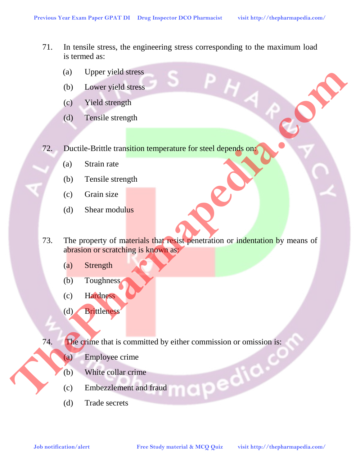- 71. In tensile stress, the engineering stress corresponding to the maximum load is termed as:
	- (a) Upper yield stress
	- (b) Lower yield stress
	- (c) Yield strength
	- (d) Tensile strength
- 72. Ductile-Brittle transition temperature for steel depends on:
	- (a) Strain rate
	- (b) Tensile strength
	- (c) Grain size
	- (d) Shear modulus
- 73. The property of materials that resist penetration or indentation by means of abrasion or scratching is known as: **Job Liver Study alertice**<br> **Job Liver Study Study material & McQ Quizz and Community of the Sheet message (b)**<br> **The property of materials that result selected from or indentation by means of<br>
(c) Christine message (c) Ch** 
	- (a) Strength
	- (b) Toughness
	- (c) Hardness
	- (d) Brittleness

74. The crime that is committed by either commission or omission is:

- (a) Employee crime
- (b) White collar crime
- (c) Embezzlement and fraud
- (d) Trade secrets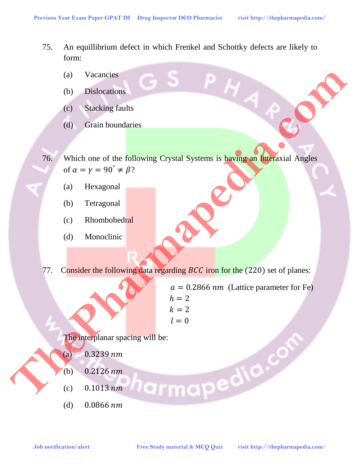- 75. An equillibrium defect in which Frenkel and Schottky defects are likely to form:
	- (a) Vacancies
	- (b) Dislocations
	- (c) Stacking faults
	- (d) Grain boundaries
- 76. Which one of the following Crystal Systems is having an Interaxial Angles of  $\alpha = \gamma = 90^{\circ} \neq \beta$ ?
	- (a) Hexagonal
	- (b) Tetragonal
	- (c) Rhombohedral
	- (d) Monoclinic
- 77. Consider the following data regarding *BCC* iron for the (220) set of planes:
- $a = 0.2866$  *nm* (Lattice parameter for Fe)  $h = 2$  $k = 2$  $l = 0$ (a) Vacancies<br>
(b) Dislocations<br>
(c) Studking faults<br>
(d) Grain boundaries<br>
(d) Hexagonal<br>
(c) Rhombohedral<br>
(c) Rhombohedral<br>
(d) Monoclinic<br>
(c) Rhombohedral<br>
(c) Rhombohedral<br>
(d) 2329 *nm*<br>
(c) 0.2126 nm<br>
(c) 0.2126 n

The interplanar spacing will be:

- $(a)$  0.3239 nm
- (b)  $0.2126$  nm
- (c)  $0.1013 \, nm$
- (d)  $0.0866$  nm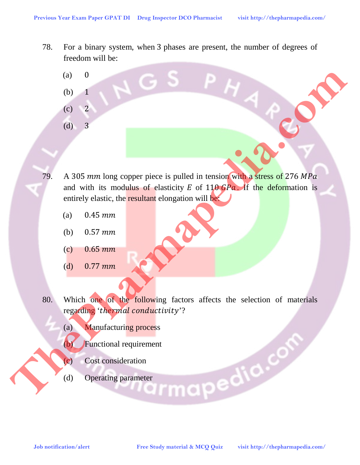- 78. For a binary system, when 3 phases are present, the number of degrees of freedom will be:
	- $(a)$  0

(b) 1

- $(c) 2$
- (d) 3
- 79. A 305 mm long copper piece is pulled in tension with a stress of 276 MPa and with its modulus of elasticity  $E$  of 110  $\frac{G}{G}$ . If the deformation is entirely elastic, the resultant elongation will be: **Job notification/alertices of 276 MParmapedia.**<br> **Job Notification** and with its modulate of classical in tension will be states of 276 MPa<br>
and with its modulate of classical dongation will be deformation is<br> **CALC MCCL** 
	- (a)  $0.45 \, mm$
	- (b)  $0.57 \, mm$
	- (c)  $0.65 \, \text{mm}$
	- (d)  $0.77 \, mm$
	- 80. Which one of the following factors affects the selection of materials regarding 'thermal conductivity'?
		- (a) Manufacturing process
		- (c) Functional requirement<br>
		(c) Cost consideration<br>
		(d) Operating parameter
		- (c) Cost consideration
		- (d) Operating parameter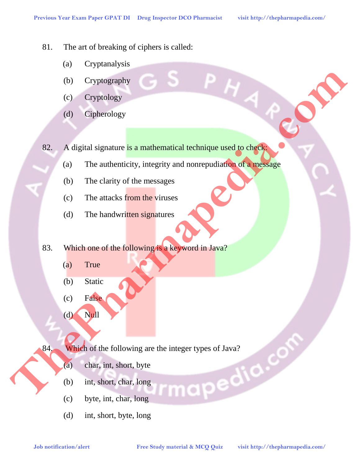- 81. The art of breaking of ciphers is called:
	- (a) Cryptanalysis
	- (b) Cryptography
	- (c) Cryptology
	- (d) Cipherology

82. A digital signature is a mathematical technique used to check: **Job Cyphology**<br> **Job Cipherology**<br> **Job Cipherology**<br> **Job Cipherology**<br> **Job The antiburities is a manthematical technique used to chase**<br> **(b)** The clurity of the measures<br> **CO** The handwritten signatures<br> **S3.** Which o

- (a) The authenticity, integrity and nonrepudiation of a message
- (b) The clarity of the messages
- (c) The attacks from the viruses
- (d) The handwritten signatures
- 83. Which one of the following is a keyword in Java?
	- (a) True
	- (b) Static
	- (c) False
	- $(d)$  Null

84. Which of the following are the integer types of Java?<br>
(a) char, int, short, byte<br>
(b) int, short, char, long<br>
(c) byte, int, char 1

- (a) char, int, short, byte
- (b) int, short, char, long
- (c) byte, int, char, long
- (d) int, short, byte, long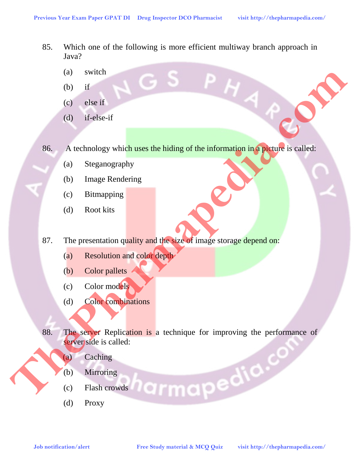- 85. Which one of the following is more efficient multiway branch approach in Java?
	- (a) switch
	- $(b)$  if
	- (c) else if
	- (d) if-else-if

86. A technology which uses the hiding of the information in a picture is called:

- (a) Steganography
- (b) Image Rendering
- (c) Bitmapping
- (d) Root kits
- 87. The presentation quality and the size of image storage depend on:
	- (a) Resolution and color depth
	- (b) Color pallets
	- (c) Color models
	- (d) Color combinations
- 88. The server Replication is a technique for improving the performance of server side is called: **Job and the study which uses the hiding of the information in a player is called:**<br> **S5.** A technology which uses the hiding of the information in a player is called:<br> **(b)** Brown kits<br> **C5.** The presentation quality and
	- (a) Caching
		- (b) Mirroring
		- (c) Flash crowds
		- (d) Proxy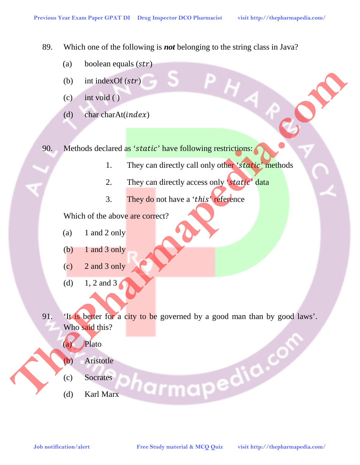89. Which one of the following is *not* belonging to the string class in Java?

- (a) boolean equals  $(str)$
- (b) int index Of  $(str)$
- (c) int void ( )
- (d) char charAt( $index$ )

90. Methods declared as 'static' have following restrictions:

- 1. They can directly call only other 'static' methods
- 2. They can directly access only 'static' data
- 3. They do not have a 'this' reference

Which of the above are correct?

- (a)  $1$  and  $2$  only
- (b)  $1$  and  $3$  only
- (c) 2 and 3 only
- (d) 1, 2 and 3
- 91. 'It is better for a city to be governed by a good man than by good laws'. Who said this? **Job notification alertication and all the study material and all the study material and all the study of the study material and all the study of the study material and all the study of the study of the study of the study** 
	- (a) Plato
	- (b) Aristotle
	- (c) Socrates
	- (d) Karl Marx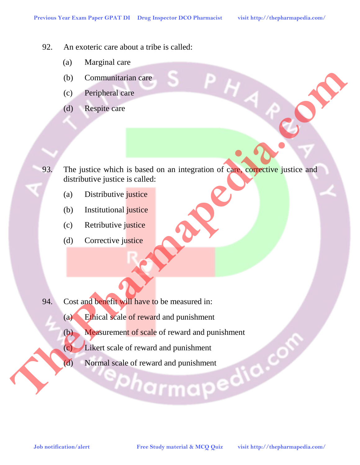- 92. An exoteric care about a tribe is called:
	- (a) Marginal care
	- (b) Communitarian care
	- (c) Peripheral care
	- (d) Respite care
- 93. The justice which is based on an integration of care, corrective justice and distributive justice is called: **Job Schwarmapedia.com/**<br> **Job Notification algorithment** is bused on an integration of care competitive justice and<br>
(a) Distributive justice<br>
(b) Institutional justice<br>
(c) Retributive justice<br>
(c) Retributive justice<br>
(
	- (a) Distributive justice
	- (b) Institutional justice
	- (c) Retributive justice
	- (d) Corrective justice
- 94. Cost and benefit will have to be measured in:
	- (a) Ethical scale of reward and punishment
	- (b) Measurement of scale of reward and punishment
	- (c) Likert scale of reward and punishment
	- (d) Normal scale of reward and punishment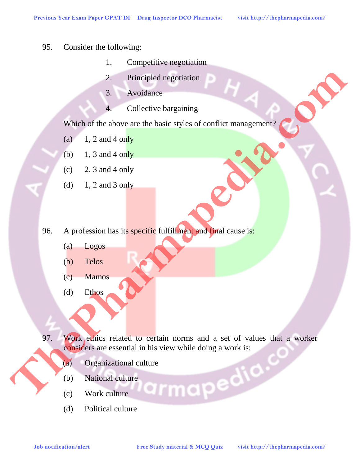- 95. Consider the following:
	- 1. Competitive negotiation
	- 2. Principled negotiation
	- 3. Avoidance
	- 4. Collective bargaining

Which of the above are the basic styles of conflict management?

- (a)  $1, 2$  and 4 only
- (b) 1, 3 and 4 only
- $(c)$  2, 3 and 4 only
- (d)  $1, 2$  and 3 only
- 96. A profession has its specific fulfillment and final cause is:
	- (a) Logos
	- (b) Telos
	- (c) Mamos
	- (d) Ethos
- 97. Work ethics related to certain norms and a set of values that a worker considers are essential in his view while doing a work is: 2. Principled negratiniting<br>
3. Avendettre barganining<br>
Which of the above are the basic styles of conflict management?<br>
(o) 1, 2 and 4 only<br>
(b) 1, 3 and 4 only<br>
(c) 2, 3 and 4 only<br>
(c) 1, 2 and 3 only<br>
(c) 1 and 3 only<br>
	- (a) Organizational culture<br>
	(b) National culture<br>
	(c) Work culture
	- (b) National culture
	- (c) Work culture
	- (d) Political culture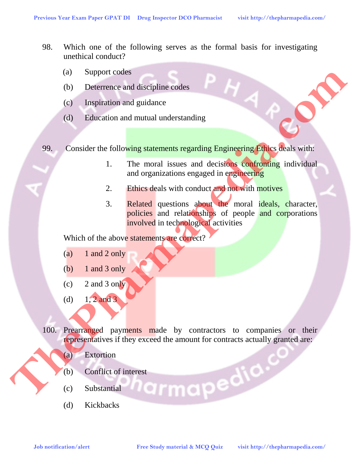- 98. Which one of the following serves as the formal basis for investigating unethical conduct?
	- (a) Support codes
	- (b) Deterrence and discipline codes
	- (c) Inspiration and guidance
	- (d) Education and mutual understanding

99. Consider the following statements regarding Engineering Ethics deals with:

- 1. The moral issues and decisions confronting individual and organizations engaged in engineering
- 2. Ethics deals with conduct and not with motives
- 3. Related questions about the moral ideals, character, policies and relationships of people and corporations involved in technological activities (a) Support cades<br>
(b) Despiration and guidance<br>
(d) Telucation and guidance<br>
(d) Telucation and guidance<br>
1. The moral issues and decisions complementing individual<br>
and organizations expected in properties in decision<br>
2

Which of the above statements are correct?

- (a)  $1$  and  $2$  only
- (b)  $1$  and  $3$  only
- $(c)$  2 and 3 only
- (d)  $1, 2$  and 3
- 100. Prearranged payments made by contractors to companies or their representatives if they exceed the amount for contracts actually granted are:
	- (a) Extortion
	- (b) Conflict of interest<br>
	(c) Substantial<br>
	(d) Kickbacks
	- (c) Substantial
	- (d) Kickbacks